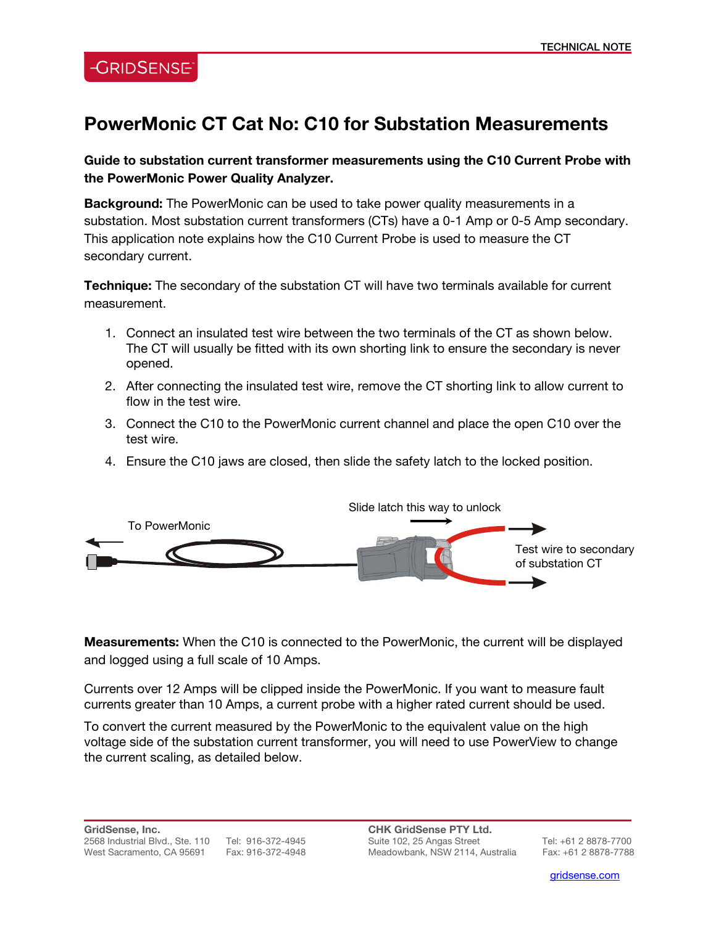## **PowerMonic CT Cat No: C10 for Substation Measurements**

**Guide to substation current transformer measurements using the C10 Current Probe with the PowerMonic Power Quality Analyzer.** 

**Background:** The PowerMonic can be used to take power quality measurements in a substation. Most substation current transformers (CTs) have a 0-1 Amp or 0-5 Amp secondary. This application note explains how the C10 Current Probe is used to measure the CT secondary current.

**Technique:** The secondary of the substation CT will have two terminals available for current measurement.

- 1. Connect an insulated test wire between the two terminals of the CT as shown below. The CT will usually be fitted with its own shorting link to ensure the secondary is never opened.
- 2. After connecting the insulated test wire, remove the CT shorting link to allow current to flow in the test wire.
- 3. Connect the C10 to the PowerMonic current channel and place the open C10 over the test wire.
- 4. Ensure the C10 jaws are closed, then slide the safety latch to the locked position.



**Measurements:** When the C10 is connected to the PowerMonic, the current will be displayed and logged using a full scale of 10 Amps.

Currents over 12 Amps will be clipped inside the PowerMonic. If you want to measure fault currents greater than 10 Amps, a current probe with a higher rated current should be used.

To convert the current measured by the PowerMonic to the equivalent value on the high voltage side of the substation current transformer, you will need to use PowerView to change the current scaling, as detailed below.

**CHK GridSense PTY Ltd.**  Suite 102, 25 Angas Street Tel: +61 2 8878-7700 Meadowbank, NSW 2114, Australia Fax: +61 2 8878-7788

l

gridsense.com i de la companya de la companya de la companya de la companya de la companya de la companya de l